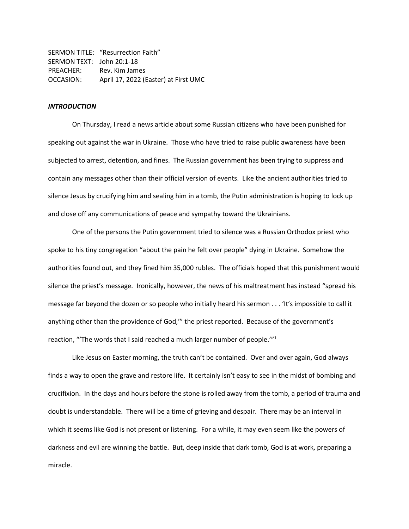SERMON TITLE: "Resurrection Faith" SERMON TEXT: John 20:1-18 PREACHER: Rev. Kim James OCCASION: April 17, 2022 (Easter) at First UMC

# *INTRODUCTION*

On Thursday, I read a news article about some Russian citizens who have been punished for speaking out against the war in Ukraine. Those who have tried to raise public awareness have been subjected to arrest, detention, and fines. The Russian government has been trying to suppress and contain any messages other than their official version of events. Like the ancient authorities tried to silence Jesus by crucifying him and sealing him in a tomb, the Putin administration is hoping to lock up and close off any communications of peace and sympathy toward the Ukrainians.

One of the persons the Putin government tried to silence was a Russian Orthodox priest who spoke to his tiny congregation "about the pain he felt over people" dying in Ukraine. Somehow the authorities found out, and they fined him 35,000 rubles. The officials hoped that this punishment would silence the priest's message. Ironically, however, the news of his maltreatment has instead "spread his message far beyond the dozen or so people who initially heard his sermon . . . 'It's impossible to call it anything other than the providence of God,'" the priest reported. Because of the government's reaction, "The words that I said reached a much larger number of people."<sup>1</sup>

Like Jesus on Easter morning, the truth can't be contained. Over and over again, God always finds a way to open the grave and restore life. It certainly isn't easy to see in the midst of bombing and crucifixion. In the days and hours before the stone is rolled away from the tomb, a period of trauma and doubt is understandable. There will be a time of grieving and despair. There may be an interval in which it seems like God is not present or listening. For a while, it may even seem like the powers of darkness and evil are winning the battle. But, deep inside that dark tomb, God is at work, preparing a miracle.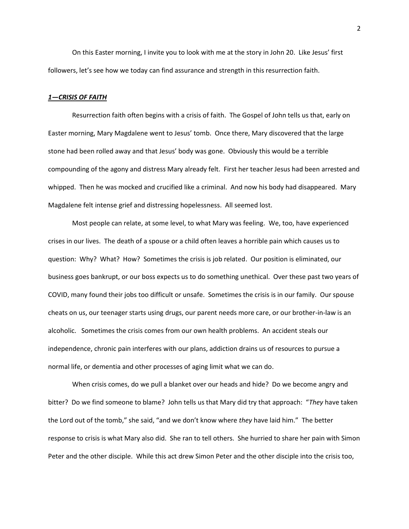On this Easter morning, I invite you to look with me at the story in John 20. Like Jesus' first followers, let's see how we today can find assurance and strength in this resurrection faith.

## *1—CRISIS OF FAITH*

Resurrection faith often begins with a crisis of faith. The Gospel of John tells us that, early on Easter morning, Mary Magdalene went to Jesus' tomb. Once there, Mary discovered that the large stone had been rolled away and that Jesus' body was gone. Obviously this would be a terrible compounding of the agony and distress Mary already felt. First her teacher Jesus had been arrested and whipped. Then he was mocked and crucified like a criminal. And now his body had disappeared. Mary Magdalene felt intense grief and distressing hopelessness. All seemed lost.

Most people can relate, at some level, to what Mary was feeling. We, too, have experienced crises in our lives. The death of a spouse or a child often leaves a horrible pain which causes us to question: Why? What? How? Sometimes the crisis is job related. Our position is eliminated, our business goes bankrupt, or our boss expects us to do something unethical. Over these past two years of COVID, many found their jobs too difficult or unsafe. Sometimes the crisis is in our family. Our spouse cheats on us, our teenager starts using drugs, our parent needs more care, or our brother-in-law is an alcoholic. Sometimes the crisis comes from our own health problems. An accident steals our independence, chronic pain interferes with our plans, addiction drains us of resources to pursue a normal life, or dementia and other processes of aging limit what we can do.

When crisis comes, do we pull a blanket over our heads and hide? Do we become angry and bitter? Do we find someone to blame? John tells us that Mary did try that approach: "*They* have taken the Lord out of the tomb," she said, "and we don't know where *they* have laid him." The better response to crisis is what Mary also did. She ran to tell others. She hurried to share her pain with Simon Peter and the other disciple. While this act drew Simon Peter and the other disciple into the crisis too,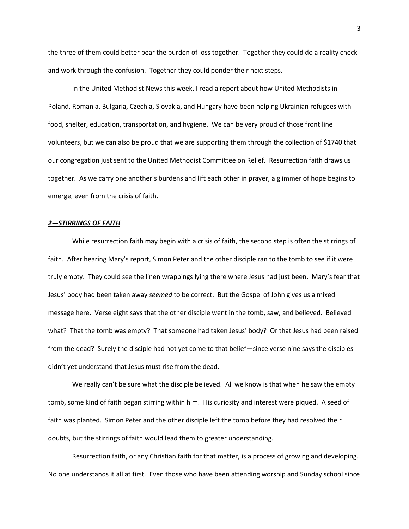the three of them could better bear the burden of loss together. Together they could do a reality check and work through the confusion. Together they could ponder their next steps.

In the United Methodist News this week, I read a report about how United Methodists in Poland, Romania, Bulgaria, Czechia, Slovakia, and Hungary have been helping Ukrainian refugees with food, shelter, education, transportation, and hygiene. We can be very proud of those front line volunteers, but we can also be proud that we are supporting them through the collection of \$1740 that our congregation just sent to the United Methodist Committee on Relief. Resurrection faith draws us together. As we carry one another's burdens and lift each other in prayer, a glimmer of hope begins to emerge, even from the crisis of faith.

#### *2—STIRRINGS OF FAITH*

While resurrection faith may begin with a crisis of faith, the second step is often the stirrings of faith. After hearing Mary's report, Simon Peter and the other disciple ran to the tomb to see if it were truly empty. They could see the linen wrappings lying there where Jesus had just been. Mary's fear that Jesus' body had been taken away *seemed* to be correct. But the Gospel of John gives us a mixed message here. Verse eight says that the other disciple went in the tomb, saw, and believed. Believed what? That the tomb was empty? That someone had taken Jesus' body? Or that Jesus had been raised from the dead? Surely the disciple had not yet come to that belief—since verse nine says the disciples didn't yet understand that Jesus must rise from the dead.

We really can't be sure what the disciple believed. All we know is that when he saw the empty tomb, some kind of faith began stirring within him. His curiosity and interest were piqued. A seed of faith was planted. Simon Peter and the other disciple left the tomb before they had resolved their doubts, but the stirrings of faith would lead them to greater understanding.

Resurrection faith, or any Christian faith for that matter, is a process of growing and developing. No one understands it all at first. Even those who have been attending worship and Sunday school since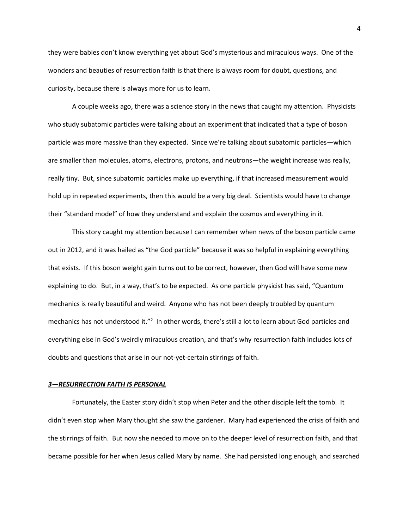they were babies don't know everything yet about God's mysterious and miraculous ways. One of the wonders and beauties of resurrection faith is that there is always room for doubt, questions, and curiosity, because there is always more for us to learn.

A couple weeks ago, there was a science story in the news that caught my attention. Physicists who study subatomic particles were talking about an experiment that indicated that a type of boson particle was more massive than they expected. Since we're talking about subatomic particles—which are smaller than molecules, atoms, electrons, protons, and neutrons—the weight increase was really, really tiny. But, since subatomic particles make up everything, if that increased measurement would hold up in repeated experiments, then this would be a very big deal. Scientists would have to change their "standard model" of how they understand and explain the cosmos and everything in it.

This story caught my attention because I can remember when news of the boson particle came out in 2012, and it was hailed as "the God particle" because it was so helpful in explaining everything that exists. If this boson weight gain turns out to be correct, however, then God will have some new explaining to do. But, in a way, that's to be expected. As one particle physicist has said, "Quantum mechanics is really beautiful and weird. Anyone who has not been deeply troubled by quantum mechanics has not understood it."<sup>2</sup> In other words, there's still a lot to learn about God particles and everything else in God's weirdly miraculous creation, and that's why resurrection faith includes lots of doubts and questions that arise in our not-yet-certain stirrings of faith.

## *3—RESURRECTION FAITH IS PERSONAL*

Fortunately, the Easter story didn't stop when Peter and the other disciple left the tomb. It didn't even stop when Mary thought she saw the gardener. Mary had experienced the crisis of faith and the stirrings of faith. But now she needed to move on to the deeper level of resurrection faith, and that became possible for her when Jesus called Mary by name. She had persisted long enough, and searched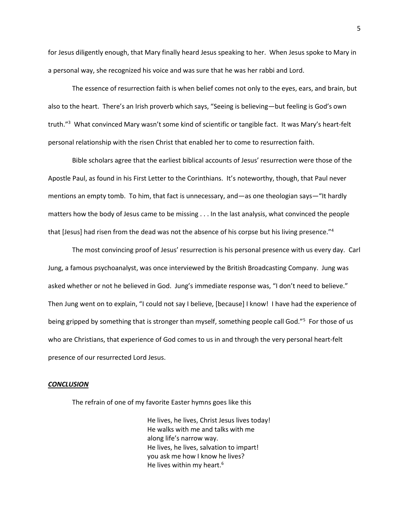for Jesus diligently enough, that Mary finally heard Jesus speaking to her. When Jesus spoke to Mary in a personal way, she recognized his voice and was sure that he was her rabbi and Lord.

The essence of resurrection faith is when belief comes not only to the eyes, ears, and brain, but also to the heart. There's an Irish proverb which says, "Seeing is believing—but feeling is God's own truth."<sup>3</sup> What convinced Mary wasn't some kind of scientific or tangible fact. It was Mary's heart-felt personal relationship with the risen Christ that enabled her to come to resurrection faith.

Bible scholars agree that the earliest biblical accounts of Jesus' resurrection were those of the Apostle Paul, as found in his First Letter to the Corinthians. It's noteworthy, though, that Paul never mentions an empty tomb. To him, that fact is unnecessary, and—as one theologian says—"It hardly matters how the body of Jesus came to be missing . . . In the last analysis, what convinced the people that [Jesus] had risen from the dead was not the absence of his corpse but his living presence."<sup>4</sup>

The most convincing proof of Jesus' resurrection is his personal presence with us every day. Carl Jung, a famous psychoanalyst, was once interviewed by the British Broadcasting Company. Jung was asked whether or not he believed in God. Jung's immediate response was, "I don't need to believe." Then Jung went on to explain, "I could not say I believe, [because] I know! I have had the experience of being gripped by something that is stronger than myself, something people call God."<sup>5</sup> For those of us who are Christians, that experience of God comes to us in and through the very personal heart-felt presence of our resurrected Lord Jesus.

## *CONCLUSION*

The refrain of one of my favorite Easter hymns goes like this

He lives, he lives, Christ Jesus lives today! He walks with me and talks with me along life's narrow way. He lives, he lives, salvation to impart! you ask me how I know he lives? He lives within my heart.<sup>6</sup>